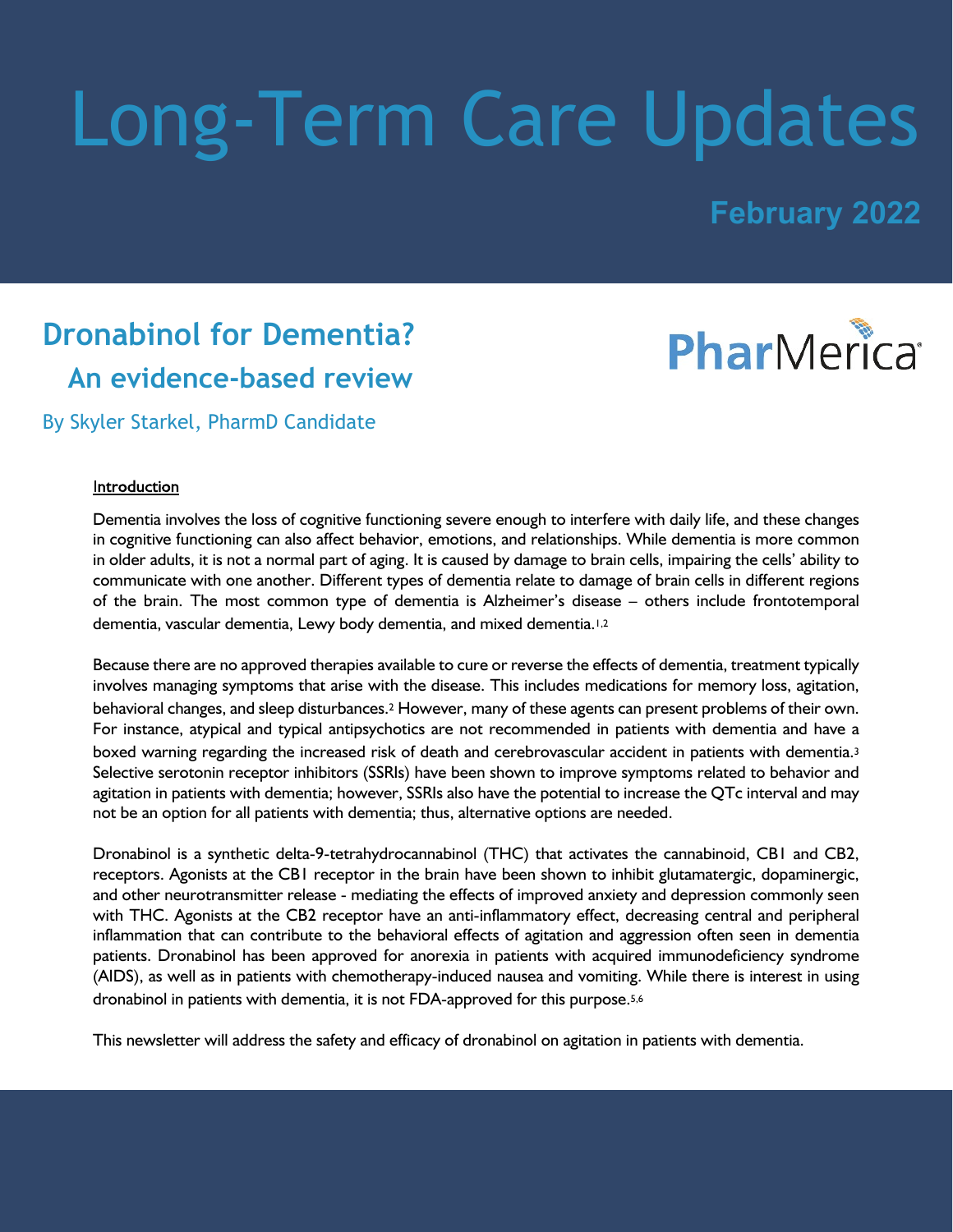# Long-Term Care Updates

## **February 2022**

## **Dronabinol for Dementia? An evidence-based review**



By Skyler Starkel, PharmD Candidate

#### Introduction

Dementia involves the loss of cognitive functioning severe enough to interfere with daily life, and these changes in cognitive functioning can also affect behavior, emotions, and relationships. While dementia is more common in older adults, it is not a normal part of aging. It is caused by damage to brain cells, impairing the cells' ability to communicate with one another. Different types of dementia relate to damage of brain cells in different regions of the brain. The most common type of dementia is Alzheimer's disease – others include frontotemporal dementia, vascular dementia, Lewy body dementia, and mixed dementia.1,2

Because there are no approved therapies available to cure or reverse the effects of dementia, treatment typically involves managing symptoms that arise with the disease. This includes medications for memory loss, agitation, behavioral changes, and sleep disturbances.2 However, many of these agents can present problems of their own. For instance, atypical and typical antipsychotics are not recommended in patients with dementia and have a boxed warning regarding the increased risk of death and cerebrovascular accident in patients with dementia.<sup>3</sup> Selective serotonin receptor inhibitors (SSRIs) have been shown to improve symptoms related to behavior and agitation in patients with dementia; however, SSRIs also have the potential to increase the QTc interval and may not be an option for all patients with dementia; thus, alternative options are needed.

Dronabinol is a synthetic delta-9-tetrahydrocannabinol (THC) that activates the cannabinoid, CB1 and CB2, receptors. Agonists at the CB1 receptor in the brain have been shown to inhibit glutamatergic, dopaminergic, and other neurotransmitter release - mediating the effects of improved anxiety and depression commonly seen with THC. Agonists at the CB2 receptor have an anti-inflammatory effect, decreasing central and peripheral inflammation that can contribute to the behavioral effects of agitation and aggression often seen in dementia patients. Dronabinol has been approved for anorexia in patients with acquired immunodeficiency syndrome (AIDS), as well as in patients with chemotherapy-induced nausea and vomiting. While there is interest in using dronabinol in patients with dementia, it is not FDA-approved for this purpose.5,6

This newsletter will address the safety and efficacy of dronabinol on agitation in patients with dementia.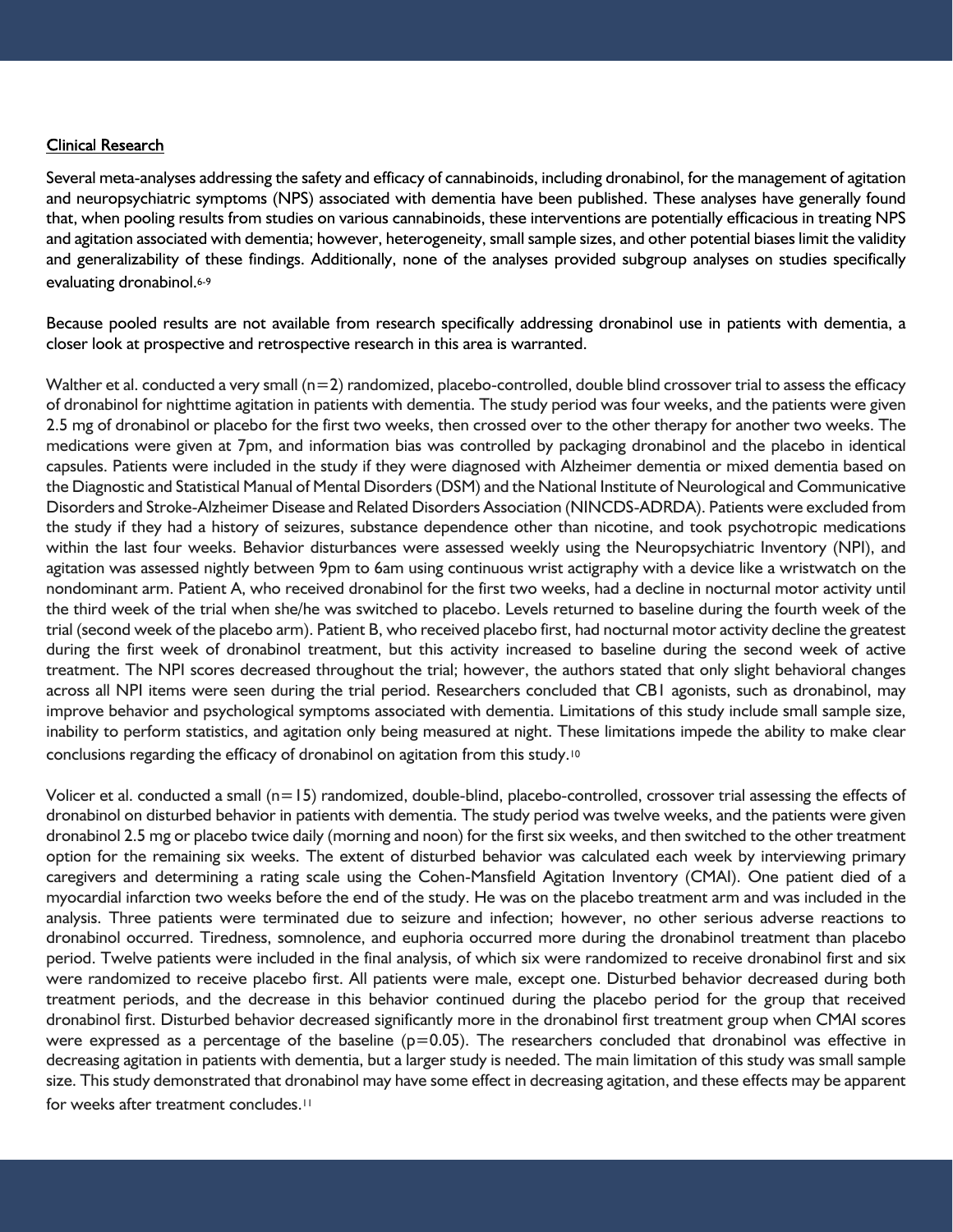#### **Clinical Research**

Several meta-analyses addressing the safety and efficacy of cannabinoids, including dronabinol, for the management of agitation and neuropsychiatric symptoms (NPS) associated with dementia have been published. These analyses have generally found that, when pooling results from studies on various cannabinoids, these interventions are potentially efficacious in treating NPS and agitation associated with dementia; however, heterogeneity, small sample sizes, and other potential biases limit the validity and generalizability of these findings. Additionally, none of the analyses provided subgroup analyses on studies specifically evaluating dronabinol.<sup>6-9</sup>

Because pooled results are not available from research specifically addressing dronabinol use in patients with dementia, a closer look at prospective and retrospective research in this area is warranted.

Walther et al. conducted a very small (n=2) randomized, placebo-controlled, double blind crossover trial to assess the efficacy of dronabinol for nighttime agitation in patients with dementia. The study period was four weeks, and the patients were given 2.5 mg of dronabinol or placebo for the first two weeks, then crossed over to the other therapy for another two weeks. The medications were given at 7pm, and information bias was controlled by packaging dronabinol and the placebo in identical capsules. Patients were included in the study if they were diagnosed with Alzheimer dementia or mixed dementia based on the Diagnostic and Statistical Manual of Mental Disorders (DSM) and the National Institute of Neurological and Communicative Disorders and Stroke-Alzheimer Disease and Related Disorders Association (NINCDS-ADRDA). Patients were excluded from the study if they had a history of seizures, substance dependence other than nicotine, and took psychotropic medications within the last four weeks. Behavior disturbances were assessed weekly using the Neuropsychiatric Inventory (NPI), and agitation was assessed nightly between 9pm to 6am using continuous wrist actigraphy with a device like a wristwatch on the nondominant arm. Patient A, who received dronabinol for the first two weeks, had a decline in nocturnal motor activity until the third week of the trial when she/he was switched to placebo. Levels returned to baseline during the fourth week of the trial (second week of the placebo arm). Patient B, who received placebo first, had nocturnal motor activity decline the greatest during the first week of dronabinol treatment, but this activity increased to baseline during the second week of active treatment. The NPI scores decreased throughout the trial; however, the authors stated that only slight behavioral changes across all NPI items were seen during the trial period. Researchers concluded that CB1 agonists, such as dronabinol, may improve behavior and psychological symptoms associated with dementia. Limitations of this study include small sample size, inability to perform statistics, and agitation only being measured at night. These limitations impede the ability to make clear conclusions regarding the efficacy of dronabinol on agitation from this study.<sup>10</sup>

Volicer et al. conducted a small (n=15) randomized, double-blind, placebo-controlled, crossover trial assessing the effects of dronabinol on disturbed behavior in patients with dementia. The study period was twelve weeks, and the patients were given dronabinol 2.5 mg or placebo twice daily (morning and noon) for the first six weeks, and then switched to the other treatment option for the remaining six weeks. The extent of disturbed behavior was calculated each week by interviewing primary caregivers and determining a rating scale using the Cohen-Mansfield Agitation Inventory (CMAI). One patient died of a myocardial infarction two weeks before the end of the study. He was on the placebo treatment arm and was included in the analysis. Three patients were terminated due to seizure and infection; however, no other serious adverse reactions to dronabinol occurred. Tiredness, somnolence, and euphoria occurred more during the dronabinol treatment than placebo period. Twelve patients were included in the final analysis, of which six were randomized to receive dronabinol first and six were randomized to receive placebo first. All patients were male, except one. Disturbed behavior decreased during both treatment periods, and the decrease in this behavior continued during the placebo period for the group that received dronabinol first. Disturbed behavior decreased significantly more in the dronabinol first treatment group when CMAI scores were expressed as a percentage of the baseline  $(p=0.05)$ . The researchers concluded that dronabinol was effective in decreasing agitation in patients with dementia, but a larger study is needed. The main limitation of this study was small sample size. This study demonstrated that dronabinol may have some effect in decreasing agitation, and these effects may be apparent for weeks after treatment concludes.<sup>11</sup>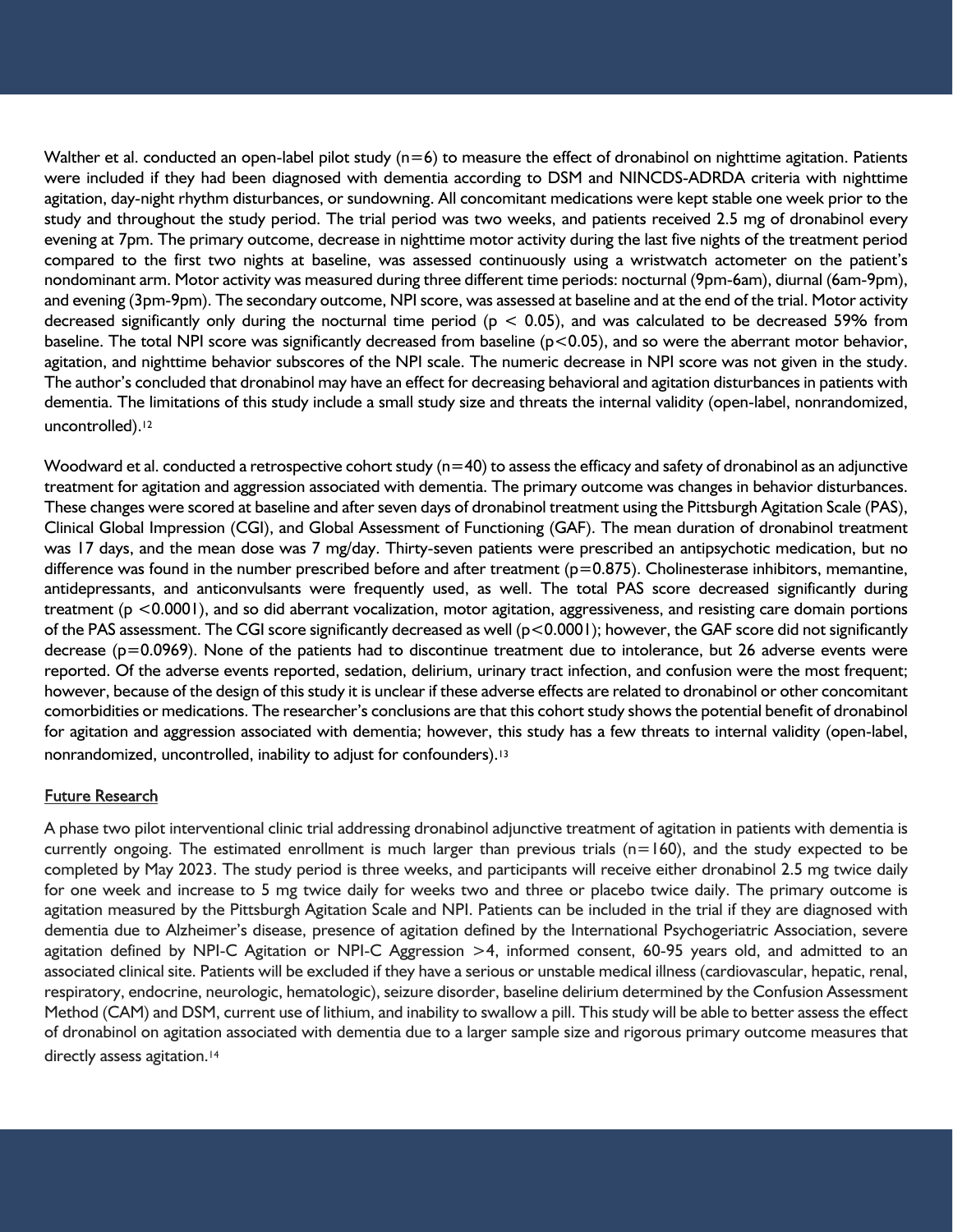Walther et al. conducted an open-label pilot study  $(n=6)$  to measure the effect of dronabinol on nighttime agitation. Patients were included if they had been diagnosed with dementia according to DSM and NINCDS-ADRDA criteria with nighttime agitation, day-night rhythm disturbances, or sundowning. All concomitant medications were kept stable one week prior to the study and throughout the study period. The trial period was two weeks, and patients received 2.5 mg of dronabinol every evening at 7pm. The primary outcome, decrease in nighttime motor activity during the last five nights of the treatment period compared to the first two nights at baseline, was assessed continuously using a wristwatch actometer on the patient's nondominant arm. Motor activity was measured during three different time periods: nocturnal (9pm-6am), diurnal (6am-9pm), and evening (3pm-9pm). The secondary outcome, NPI score, was assessed at baseline and at the end of the trial. Motor activity decreased significantly only during the nocturnal time period ( $p < 0.05$ ), and was calculated to be decreased 59% from baseline. The total NPI score was significantly decreased from baseline (p<0.05), and so were the aberrant motor behavior, agitation, and nighttime behavior subscores of the NPI scale. The numeric decrease in NPI score was not given in the study. The author's concluded that dronabinol may have an effect for decreasing behavioral and agitation disturbances in patients with dementia. The limitations of this study include a small study size and threats the internal validity (open-label, nonrandomized, uncontrolled).<sup>12</sup>

Woodward et al. conducted a retrospective cohort study (n=40) to assess the efficacy and safety of dronabinol as an adjunctive treatment for agitation and aggression associated with dementia. The primary outcome was changes in behavior disturbances. These changes were scored at baseline and after seven days of dronabinol treatment using the Pittsburgh Agitation Scale (PAS), Clinical Global Impression (CGI), and Global Assessment of Functioning (GAF). The mean duration of dronabinol treatment was 17 days, and the mean dose was 7 mg/day. Thirty-seven patients were prescribed an antipsychotic medication, but no difference was found in the number prescribed before and after treatment  $(p=0.875)$ . Cholinesterase inhibitors, memantine, antidepressants, and anticonvulsants were frequently used, as well. The total PAS score decreased significantly during treatment (p <0.0001), and so did aberrant vocalization, motor agitation, aggressiveness, and resisting care domain portions of the PAS assessment. The CGI score significantly decreased as well (p<0.0001); however, the GAF score did not significantly decrease (p=0.0969). None of the patients had to discontinue treatment due to intolerance, but 26 adverse events were reported. Of the adverse events reported, sedation, delirium, urinary tract infection, and confusion were the most frequent; however, because of the design of this study it is unclear if these adverse effects are related to dronabinol or other concomitant comorbidities or medications. The researcher's conclusions are that this cohort study shows the potential benefit of dronabinol for agitation and aggression associated with dementia; however, this study has a few threats to internal validity (open-label, nonrandomized, uncontrolled, inability to adjust for confounders).<sup>13</sup>

#### **Future Research**

A phase two pilot interventional clinic trial addressing dronabinol adjunctive treatment of agitation in patients with dementia is currently ongoing. The estimated enrollment is much larger than previous trials  $(n=160)$ , and the study expected to be completed by May 2023. The study period is three weeks, and participants will receive either dronabinol 2.5 mg twice daily for one week and increase to 5 mg twice daily for weeks two and three or placebo twice daily. The primary outcome is agitation measured by the Pittsburgh Agitation Scale and NPI. Patients can be included in the trial if they are diagnosed with dementia due to Alzheimer's disease, presence of agitation defined by the International Psychogeriatric Association, severe agitation defined by NPI-C Agitation or NPI-C Aggression >4, informed consent, 60-95 years old, and admitted to an associated clinical site. Patients will be excluded if they have a serious or unstable medical illness (cardiovascular, hepatic, renal, respiratory, endocrine, neurologic, hematologic), seizure disorder, baseline delirium determined by the Confusion Assessment Method (CAM) and DSM, current use of lithium, and inability to swallow a pill. This study will be able to better assess the effect of dronabinol on agitation associated with dementia due to a larger sample size and rigorous primary outcome measures that directly assess agitation.<sup>14</sup>